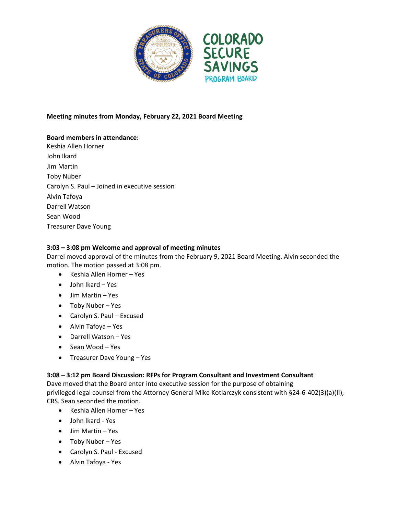

### **Meeting minutes from Monday, February 22, 2021 Board Meeting**

# **Board members in attendance:**

Keshia Allen Horner John Ikard Jim Martin Toby Nuber Carolyn S. Paul – Joined in executive session Alvin Tafoya Darrell Watson Sean Wood Treasurer Dave Young

### **3:03 – 3:08 pm Welcome and approval of meeting minutes**

Darrel moved approval of the minutes from the February 9, 2021 Board Meeting. Alvin seconded the motion. The motion passed at 3:08 pm.

- Keshia Allen Horner Yes
- John Ikard Yes
- Jim Martin Yes
- Toby Nuber Yes
- Carolyn S. Paul Excused
- Alvin Tafoya Yes
- Darrell Watson Yes
- $\bullet$  Sean Wood Yes
- Treasurer Dave Young Yes

#### **3:08 – 3:12 pm Board Discussion: RFPs for Program Consultant and Investment Consultant**

Dave moved that the Board enter into executive session for the purpose of obtaining privileged legal counsel from the Attorney General Mike Kotlarczyk consistent with §24-6-402(3)(a)(II), CRS. Sean seconded the motion.

- Keshia Allen Horner Yes
- John Ikard Yes
- Jim Martin Yes
- Toby Nuber Yes
- Carolyn S. Paul Excused
- Alvin Tafoya Yes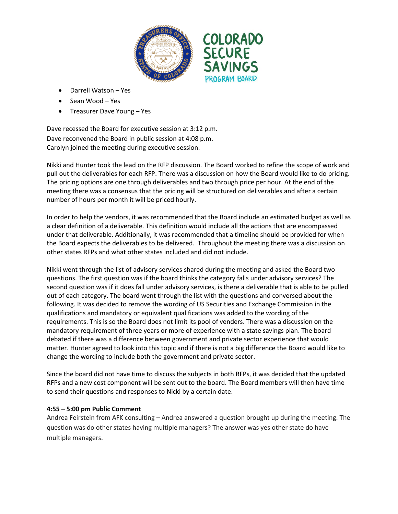

- Darrell Watson Yes
- Sean Wood Yes
- Treasurer Dave Young Yes

Dave recessed the Board for executive session at 3:12 p.m. Dave reconvened the Board in public session at 4:08 p.m. Carolyn joined the meeting during executive session.

Nikki and Hunter took the lead on the RFP discussion. The Board worked to refine the scope of work and pull out the deliverables for each RFP. There was a discussion on how the Board would like to do pricing. The pricing options are one through deliverables and two through price per hour. At the end of the meeting there was a consensus that the pricing will be structured on deliverables and after a certain number of hours per month it will be priced hourly.

In order to help the vendors, it was recommended that the Board include an estimated budget as well as a clear definition of a deliverable. This definition would include all the actions that are encompassed under that deliverable. Additionally, it was recommended that a timeline should be provided for when the Board expects the deliverables to be delivered. Throughout the meeting there was a discussion on other states RFPs and what other states included and did not include.

Nikki went through the list of advisory services shared during the meeting and asked the Board two questions. The first question was if the board thinks the category falls under advisory services? The second question was if it does fall under advisory services, is there a deliverable that is able to be pulled out of each category. The board went through the list with the questions and conversed about the following. It was decided to remove the wording of US Securities and Exchange Commission in the qualifications and mandatory or equivalent qualifications was added to the wording of the requirements. This is so the Board does not limit its pool of venders. There was a discussion on the mandatory requirement of three years or more of experience with a state savings plan. The board debated if there was a difference between government and private sector experience that would matter. Hunter agreed to look into this topic and if there is not a big difference the Board would like to change the wording to include both the government and private sector.

Since the board did not have time to discuss the subjects in both RFPs, it was decided that the updated RFPs and a new cost component will be sent out to the board. The Board members will then have time to send their questions and responses to Nicki by a certain date.

#### **4:55 – 5:00 pm Public Comment**

Andrea Feirstein from AFK consulting – Andrea answered a question brought up during the meeting. The question was do other states having multiple managers? The answer was yes other state do have multiple managers.